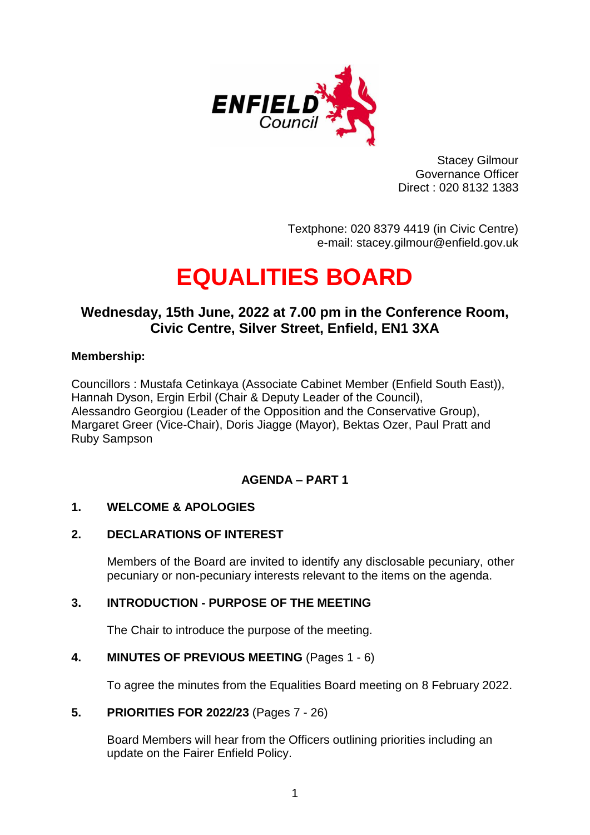

Stacey Gilmour Governance Officer Direct : 020 8132 1383

Textphone: 020 8379 4419 (in Civic Centre) e-mail: stacey.gilmour@enfield.gov.uk

# **EQUALITIES BOARD**

# **Wednesday, 15th June, 2022 at 7.00 pm in the Conference Room, Civic Centre, Silver Street, Enfield, EN1 3XA**

# **Membership:**

Councillors : Mustafa Cetinkaya (Associate Cabinet Member (Enfield South East)), Hannah Dyson, Ergin Erbil (Chair & Deputy Leader of the Council), Alessandro Georgiou (Leader of the Opposition and the Conservative Group), Margaret Greer (Vice-Chair), Doris Jiagge (Mayor), Bektas Ozer, Paul Pratt and Ruby Sampson

# **AGENDA – PART 1**

# **1. WELCOME & APOLOGIES**

#### **2. DECLARATIONS OF INTEREST**

Members of the Board are invited to identify any disclosable pecuniary, other pecuniary or non-pecuniary interests relevant to the items on the agenda.

# **3. INTRODUCTION - PURPOSE OF THE MEETING**

The Chair to introduce the purpose of the meeting.

#### **4. MINUTES OF PREVIOUS MEETING** (Pages 1 - 6)

To agree the minutes from the Equalities Board meeting on 8 February 2022.

#### **5. PRIORITIES FOR 2022/23** (Pages 7 - 26)

Board Members will hear from the Officers outlining priorities including an update on the Fairer Enfield Policy.